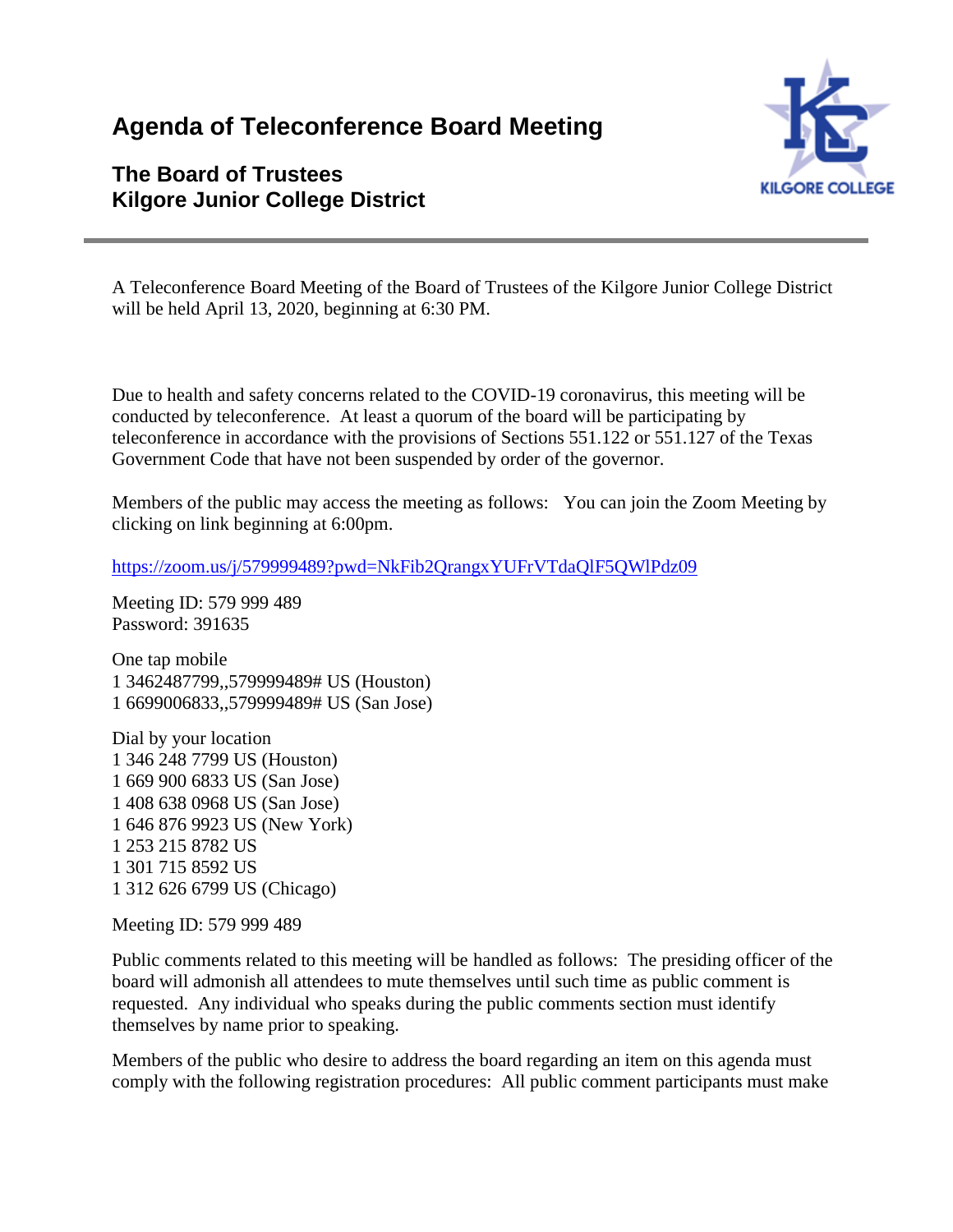# **Agenda of Teleconference Board Meeting**

# **The Board of Trustees Kilgore Junior College District**



A Teleconference Board Meeting of the Board of Trustees of the Kilgore Junior College District will be held April 13, 2020, beginning at 6:30 PM.

Due to health and safety concerns related to the COVID-19 coronavirus, this meeting will be conducted by teleconference. At least a quorum of the board will be participating by teleconference in accordance with the provisions of Sections 551.122 or 551.127 of the Texas Government Code that have not been suspended by order of the governor.

Members of the public may access the meeting as follows: You can join the Zoom Meeting by clicking on link beginning at 6:00pm.

<https://zoom.us/j/579999489?pwd=NkFib2QrangxYUFrVTdaQlF5QWlPdz09>

Meeting ID: 579 999 489 Password: 391635

One tap mobile 1 3462487799,,579999489# US (Houston) 1 6699006833,,579999489# US (San Jose)

Dial by your location 1 346 248 7799 US (Houston) 1 669 900 6833 US (San Jose) 1 408 638 0968 US (San Jose) 1 646 876 9923 US (New York) 1 253 215 8782 US 1 301 715 8592 US 1 312 626 6799 US (Chicago)

Meeting ID: 579 999 489

Public comments related to this meeting will be handled as follows: The presiding officer of the board will admonish all attendees to mute themselves until such time as public comment is requested. Any individual who speaks during the public comments section must identify themselves by name prior to speaking.

Members of the public who desire to address the board regarding an item on this agenda must comply with the following registration procedures: All public comment participants must make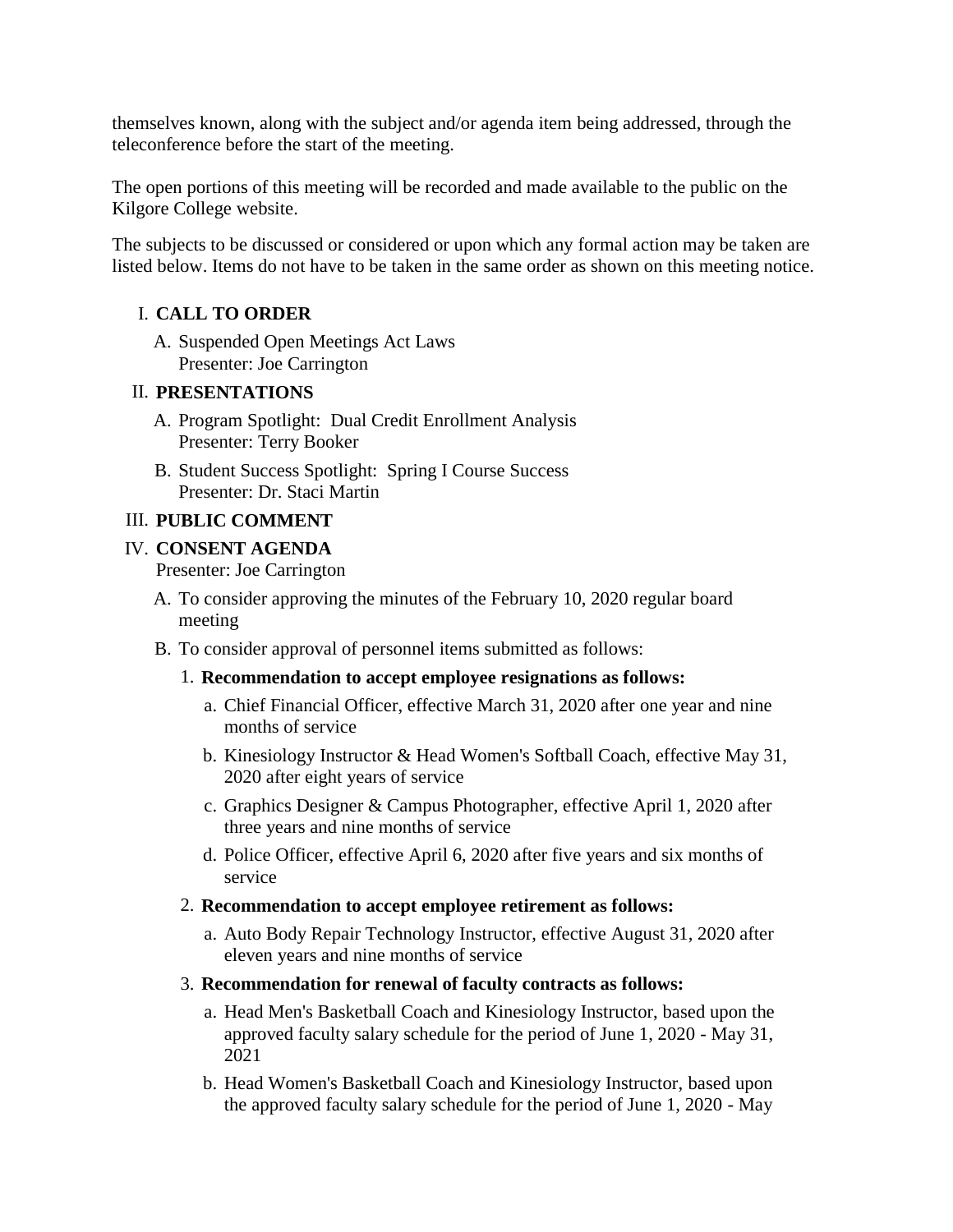themselves known, along with the subject and/or agenda item being addressed, through the teleconference before the start of the meeting.

The open portions of this meeting will be recorded and made available to the public on the Kilgore College website.

The subjects to be discussed or considered or upon which any formal action may be taken are listed below. Items do not have to be taken in the same order as shown on this meeting notice.

#### I. **CALL TO ORDER**

A. Suspended Open Meetings Act Laws Presenter: Joe Carrington

#### II. **PRESENTATIONS**

- A. Program Spotlight: Dual Credit Enrollment Analysis Presenter: Terry Booker
- B. Student Success Spotlight: Spring I Course Success Presenter: Dr. Staci Martin

#### III. **PUBLIC COMMENT**

#### IV. **CONSENT AGENDA**

Presenter: Joe Carrington

- A. To consider approving the minutes of the February 10, 2020 regular board meeting
- B. To consider approval of personnel items submitted as follows:

#### 1. **Recommendation to accept employee resignations as follows:**

- a. Chief Financial Officer, effective March 31, 2020 after one year and nine months of service
- b. Kinesiology Instructor & Head Women's Softball Coach, effective May 31, 2020 after eight years of service
- c. Graphics Designer & Campus Photographer, effective April 1, 2020 after three years and nine months of service
- d. Police Officer, effective April 6, 2020 after five years and six months of service

#### 2. **Recommendation to accept employee retirement as follows:**

- a. Auto Body Repair Technology Instructor, effective August 31, 2020 after eleven years and nine months of service
- 3. **Recommendation for renewal of faculty contracts as follows:**
	- a. Head Men's Basketball Coach and Kinesiology Instructor, based upon the approved faculty salary schedule for the period of June 1, 2020 - May 31, 2021
	- b. Head Women's Basketball Coach and Kinesiology Instructor, based upon the approved faculty salary schedule for the period of June 1, 2020 - May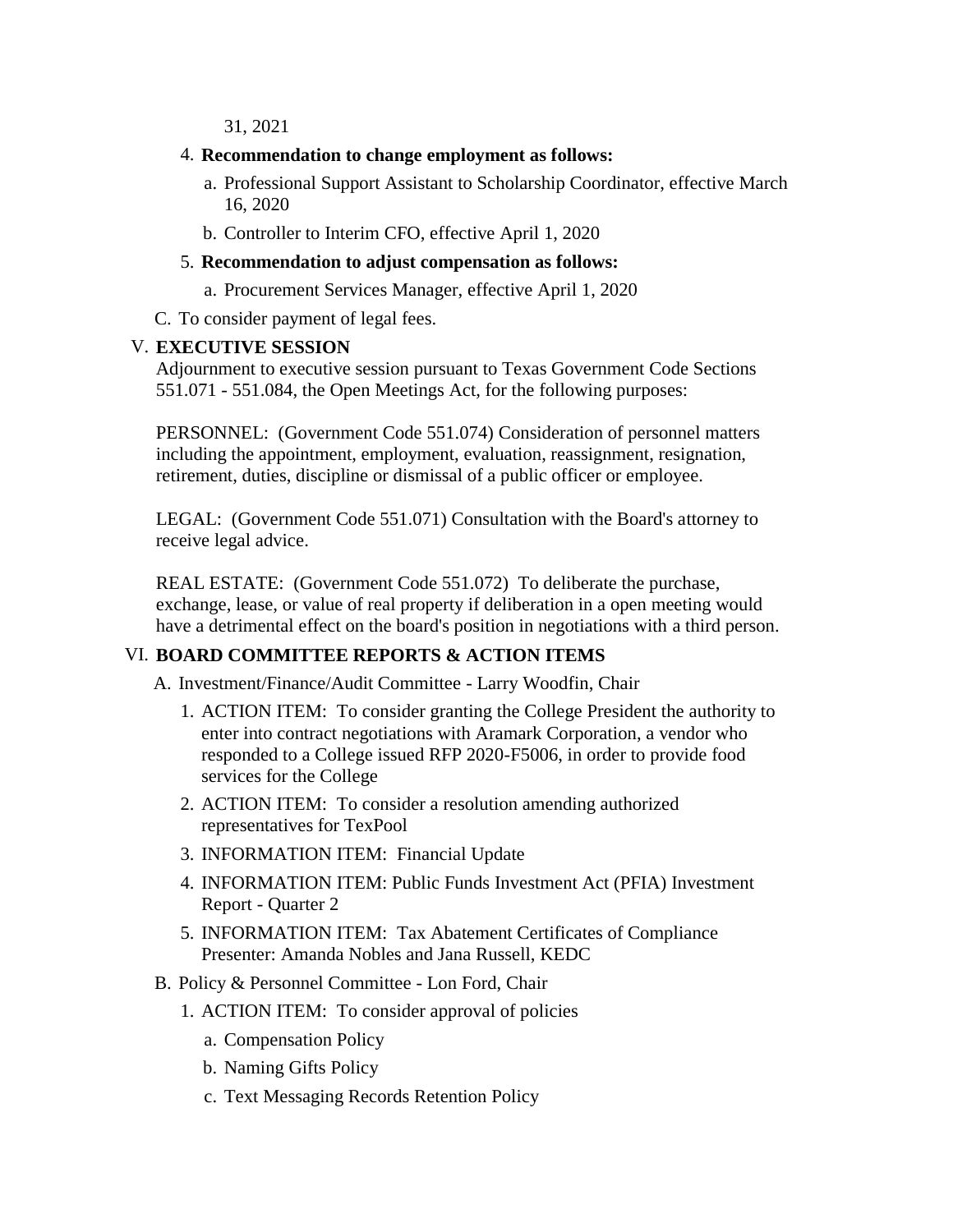31, 2021

- 4. **Recommendation to change employment as follows:**
	- a. Professional Support Assistant to Scholarship Coordinator, effective March 16, 2020
	- b. Controller to Interim CFO, effective April 1, 2020

#### 5. **Recommendation to adjust compensation as follows:**

- a. Procurement Services Manager, effective April 1, 2020
- C. To consider payment of legal fees.

#### V. **EXECUTIVE SESSION**

Adjournment to executive session pursuant to Texas Government Code Sections 551.071 - 551.084, the Open Meetings Act, for the following purposes:

PERSONNEL: (Government Code 551.074) Consideration of personnel matters including the appointment, employment, evaluation, reassignment, resignation, retirement, duties, discipline or dismissal of a public officer or employee.

LEGAL: (Government Code 551.071) Consultation with the Board's attorney to receive legal advice.

REAL ESTATE: (Government Code 551.072) To deliberate the purchase, exchange, lease, or value of real property if deliberation in a open meeting would have a detrimental effect on the board's position in negotiations with a third person.

#### VI. **BOARD COMMITTEE REPORTS & ACTION ITEMS**

A. Investment/Finance/Audit Committee - Larry Woodfin, Chair

- 1. ACTION ITEM: To consider granting the College President the authority to enter into contract negotiations with Aramark Corporation, a vendor who responded to a College issued RFP 2020-F5006, in order to provide food services for the College
- 2. ACTION ITEM: To consider a resolution amending authorized representatives for TexPool
- 3. INFORMATION ITEM: Financial Update
- 4. INFORMATION ITEM: Public Funds Investment Act (PFIA) Investment Report - Quarter 2
- 5. INFORMATION ITEM: Tax Abatement Certificates of Compliance Presenter: Amanda Nobles and Jana Russell, KEDC
- B. Policy & Personnel Committee Lon Ford, Chair
	- 1. ACTION ITEM: To consider approval of policies
		- a. Compensation Policy
		- b. Naming Gifts Policy
		- c. Text Messaging Records Retention Policy